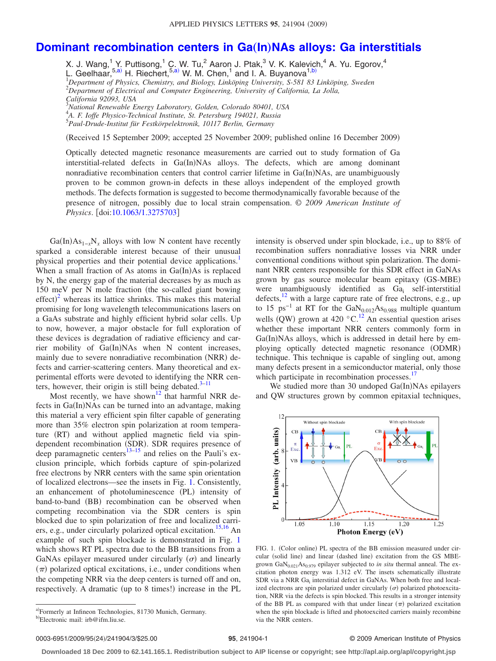## **[Dominant recombination centers in Ga](http://dx.doi.org/10.1063/1.3275703)(In)NAs alloys: Ga interstitials**

X. J. Wang, $^{1}$  Y. Puttisong, $^{1}$  [C. W](#page-0-0). Tu, $^{2}$  Aaron J. Ptak, $^{3}$  V. K. Kalevich, $^{4}$  A. Yu. Egorov, $^{4}$ 

L. Geelhaar,<sup>5[,a](#page-0-0))</sup> H. Riechert,<sup>5,a)</sup> W. M. Chen,<sup>1</sup> and I. A. Buyanova<sup>1[,b](#page-0-1))</sup>

1 *Department of Physics, Chemistry, and Biology, Linköping University, S-581 83 Linköping, Sweden* 2 *Department of Electrical and Computer Engineering, University of California, La Jolla,*

*California 92093, USA*

3 *National Renewable Energy Laboratory, Golden, Colorado 80401, USA*

4 *A. F. Ioffe Physico-Technical Institute, St. Petersburg 194021, Russia*

5 *Paul-Drude-Institut für Festkörpelektronik, 10117 Berlin, Germany*

Received 15 September 2009; accepted 25 November 2009; published online 16 December 2009-

Optically detected magnetic resonance measurements are carried out to study formation of Ga interstitial-related defects in Ga(In)NAs alloys. The defects, which are among dominant nonradiative recombination centers that control carrier lifetime in Ga(In)NAs, are unambiguously proven to be common grown-in defects in these alloys independent of the employed growth methods. The defects formation is suggested to become thermodynamically favorable because of the presence of nitrogen, possibly due to local strain compensation. © *2009 American Institute of Physics*. [doi[:10.1063/1.3275703](http://dx.doi.org/10.1063/1.3275703)]

 $Ga(In) As<sub>1-x</sub>N<sub>x</sub>$  alloys with low N content have recently sparked a considerable interest because of their unusual physical properties and their potential device applications.<sup>1</sup> When a small fraction of As atoms in Ga(In)As is replaced by N, the energy gap of the material decreases by as much as 150 meV per N mole fraction (the so-called giant bowing  $effect)^2$  $effect)^2$  whereas its lattice shrinks. This makes this material promising for long wavelength telecommunications lasers on a GaAs substrate and highly efficient hybrid solar cells. Up to now, however, a major obstacle for full exploration of these devices is degradation of radiative efficiency and carrier mobility of Ga(In)NAs when N content increases, mainly due to severe nonradiative recombination (NRR) defects and carrier-scattering centers. Many theoretical and experimental efforts were devoted to identifying the NRR centers, however, their origin is still being debated. $3-11$ 

Most recently, we have shown<sup>12</sup> that harmful NRR defects in Ga(In)NAs can be turned into an advantage, making this material a very efficient spin filter capable of generating more than 35% electron spin polarization at room temperature (RT) and without applied magnetic field via spindependent recombination (SDR). SDR requires presence of deep paramagnetic centers<sup>13[–15](#page-2-6)</sup> and relies on the Pauli's exclusion principle, which forbids capture of spin-polarized free electrons by NRR centers with the same spin orientation of localized electrons—see the insets in Fig. [1.](#page-0-2) Consistently, an enhancement of photoluminescence (PL) intensity of band-to-band (BB) recombination can be observed when competing recombination via the SDR centers is spin blocked due to spin polarization of free and localized carri-ers, e.g., under circularly polarized optical excitation.<sup>15[,16](#page-2-7)</sup> An example of such spin blockade is demonstrated in Fig. [1](#page-0-2) which shows RT PL spectra due to the BB transitions from a GaNAs epilayer measured under circularly  $(\sigma)$  and linearly  $(\pi)$  polarized optical excitations, i.e., under conditions when the competing NRR via the deep centers is turned off and on, respectively. A dramatic (up to 8 times!) increase in the PL

intensity is observed under spin blockade, i.e., up to 88% of recombination suffers nonradiative losses via NRR under conventional conditions without spin polarization. The dominant NRR centers responsible for this SDR effect in GaNAs grown by gas source molecular beam epitaxy (GS-MBE) were unambiguously identified as  $Ga_i$  self-interstitial defects, $^{12}$  with a large capture rate of free electrons, e.g., up to 15  $ps^{-1}$  at RT for the GaN<sub>0.012</sub>As<sub>0.988</sub> multiple quantum wells (QW) grown at 420  $\degree$ C.<sup>12</sup> An essential question arises whether these important NRR centers commonly form in Ga(In)NAs alloys, which is addressed in detail here by employing optically detected magnetic resonance (ODMR) technique. This technique is capable of singling out, among many defects present in a semiconductor material, only those which participate in recombination processes.<sup>17</sup>

<span id="page-0-2"></span>We studied more than 30 undoped Ga(In)NAs epilayers and QW structures grown by common epitaxial techniques,



FIG. 1. (Color online) PL spectra of the BB emission measured under circular (solid line) and linear (dashed line) excitation from the GS MBEgrown GaN<sub>0.021</sub>As<sub>0.979</sub> epilayer subjected to *in situ* thermal anneal. The excitation photon energy was 1.312 eV. The insets schematically illustrate SDR via a NRR Ga; interstitial defect in GaNAs. When both free and localized electrons are spin polarized under circularly  $(\sigma)$  polarized photoexcitation, NRR via the defects is spin blocked. This results in a stronger intensity of the BB PL as compared with that under linear  $(\pi)$  polarized excitation when the spin blockade is lifted and photoexcited carriers mainly recombine via the NRR centers.

**Downloaded 18 Dec 2009 to 62.141.165.1. Redistribution subject to AIP license or copyright; see http://apl.aip.org/apl/copyright.jsp**

<span id="page-0-1"></span><span id="page-0-0"></span>a)Formerly at Infineon Technologies, 81730 Munich, Germany. b)Electronic mail: irb@ifm.liu.se.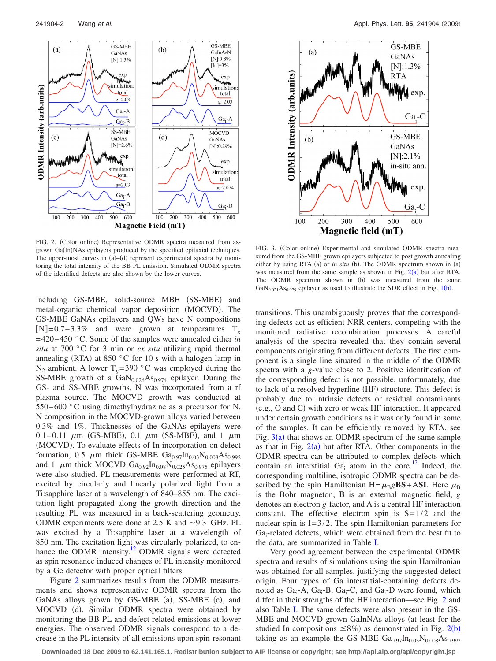<span id="page-1-0"></span>

FIG. 2. (Color online) Representative ODMR spectra measured from asgrown Ga(In)NAs epilayers produced by the specified epitaxial techniques. The upper-most curves in  $(a)$ - $(d)$  represent experimental spectra by monitoring the total intensity of the BB PL emission. Simulated ODMR spectra of the identified defects are also shown by the lower curves.

including GS-MBE, solid-source MBE (SS-MBE) and metal-organic chemical vapor deposition (MOCVD). The GS-MBE GaNAs epilayers and QWs have N compositions  $[N]=0.7-3.3\%$  and were grown at temperatures T<sub>g</sub> =420–450 °C. Some of the samples were annealed either *in situ* at 700 °C for 3 min or *ex situ* utilizing rapid thermal annealing (RTA) at 850  $\degree$ C for 10 s with a halogen lamp in  $N_2$  ambient. A lower  $T_g = 390$  °C was employed during the SS-MBE growth of a  $GaN<sub>0.026</sub>As<sub>0.974</sub>$  epilayer. During the GS- and SS-MBE growths, N was incorporated from a rf plasma source. The MOCVD growth was conducted at 550–600 °C using dimethylhydrazine as a precursor for N. N composition in the MOCVD-grown alloys varied between 0.3% and 1%. Thicknesses of the GaNAs epilayers were 0.1–0.11  $\mu$ m (GS-MBE), 0.1  $\mu$ m (SS-MBE), and 1  $\mu$ m (MOCVD). To evaluate effects of In incorporation on defect formation, 0.5  $\mu$ m thick GS-MBE Ga<sub>0.97</sub>In<sub>0.03</sub>N<sub>0.008</sub>As<sub>0.992</sub> and 1  $\mu$ m thick MOCVD Ga<sub>0.92</sub>In<sub>0.08</sub>N<sub>0.025</sub>As<sub>0.975</sub> epilayers were also studied. PL measurements were performed at RT, excited by circularly and linearly polarized light from a Ti:sapphire laser at a wavelength of 840–855 nm. The excitation light propagated along the growth direction and the resulting PL was measured in a back-scattering geometry. ODMR experiments were done at 2.5 K and  $\sim$ 9.3 GHz. PL was excited by a Ti:sapphire laser at a wavelength of 850 nm. The excitation light was circularly polarized, to enhance the ODMR intensity.<sup>12</sup> ODMR signals were detected as spin resonance induced changes of PL intensity monitored by a Ge detector with proper optical filters.

Figure [2](#page-1-0) summarizes results from the ODMR measurements and shows representative ODMR spectra from the GaNAs alloys grown by GS-MBE (a), SS-MBE (c), and MOCVD (d). Similar ODMR spectra were obtained by monitoring the BB PL and defect-related emissions at lower energies. The observed ODMR signals correspond to a decrease in the PL intensity of all emissions upon spin-resonant

<span id="page-1-1"></span>

FIG. 3. (Color online) Experimental and simulated ODMR spectra measured from the GS-MBE grown epilayers subjected to post growth annealing either by using RTA (a) or *in situ* (b). The ODMR spectrum shown in (a) was measured from the same sample as shown in Fig.  $2(a)$  $2(a)$  but after RTA. The ODMR spectrum shown in (b) was measured from the same  $GaN<sub>0.021</sub>As<sub>0.979</sub>$  $GaN<sub>0.021</sub>As<sub>0.979</sub>$  $GaN<sub>0.021</sub>As<sub>0.979</sub>$  epilayer as used to illustrate the SDR effect in Fig. 1(b).

transitions. This unambiguously proves that the corresponding defects act as efficient NRR centers, competing with the monitored radiative recombination processes. A careful analysis of the spectra revealed that they contain several components originating from different defects. The first component is a single line situated in the middle of the ODMR spectra with a *g*-value close to 2. Positive identification of the corresponding defect is not possible, unfortunately, due to lack of a resolved hyperfine (HF) structure. This defect is probably due to intrinsic defects or residual contaminants (e.g., O and C) with zero or weak HF interaction. It appeared under certain growth conditions as it was only found in some of the samples. It can be efficiently removed by RTA, see Fig.  $3(a)$  $3(a)$  that shows an ODMR spectrum of the same sample as that in Fig.  $2(a)$  $2(a)$  but after RTA. Other components in the ODMR spectra can be attributed to complex defects which contain an interstitial Ga<sub>i</sub> atom in the core.<sup>12</sup> Indeed, the corresponding multiline, isotropic ODMR spectra can be described by the spin Hamiltonian  $H = \mu_B g\mathbf{BS} + ASI$ . Here  $\mu_B$ is the Bohr magneton, **B** is an external magnetic field, *g* denotes an electron *g*-factor, and A is a central HF interaction constant. The effective electron spin is  $S=1/2$  and the nuclear spin is  $I = 3/2$ . The spin Hamiltonian parameters for Ga<sub>i</sub>-related defects, which were obtained from the best fit to the data, are summarized in Table [I.](#page-2-9)

Very good agreement between the experimental ODMR spectra and results of simulations using the spin Hamiltonian was obtained for all samples, justifying the suggested defect origin. Four types of Ga interstitial-containing defects denoted as  $Ga_i$ -A,  $Ga_i$ -B,  $Ga_i$ -C, and  $Ga_i$ -D were found, which differ in their strengths of the HF interaction—see Fig. [2](#page-1-0) and also Table [I.](#page-2-9) The same defects were also present in the GS-MBE and MOCVD grown GaInNAs alloys (at least for the studied In compositions  $\leq 8\%$ ) as demonstrated in Fig. [2](#page-1-0)(b) taking as an example the GS-MBE  $Ga_{0.97}In_{0.03}N_{0.008}As_{0.992}$ 

**Downloaded 18 Dec 2009 to 62.141.165.1. Redistribution subject to AIP license or copyright; see http://apl.aip.org/apl/copyright.jsp**